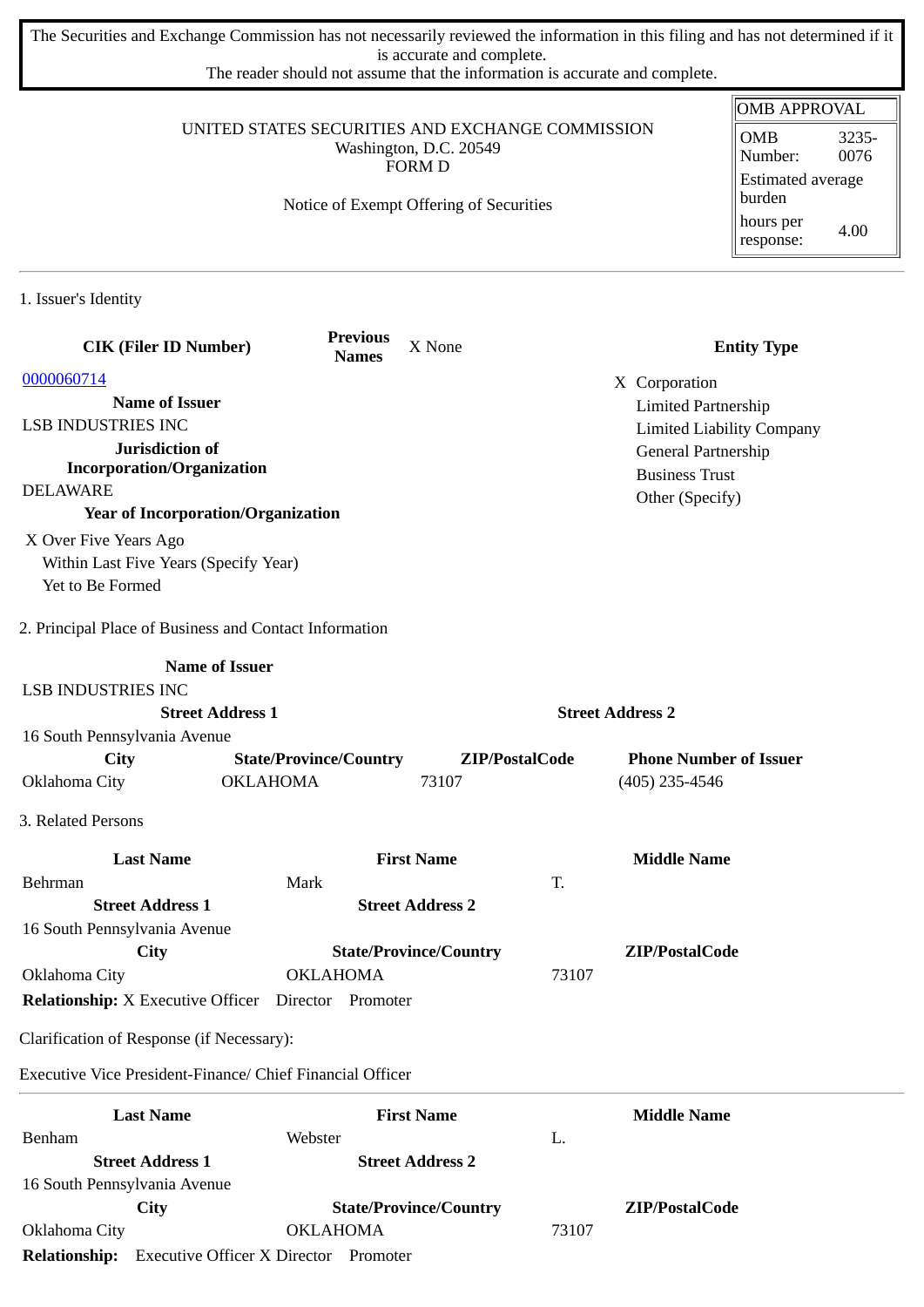The Securities and Exchange Commission has not necessarily reviewed the information in this filing and has not determined if it is accurate and complete.

The reader should not assume that the information is accurate and complete.

|                                                                               |                                                  |                                         |                               | <b>OMB APPROVAL</b>              |
|-------------------------------------------------------------------------------|--------------------------------------------------|-----------------------------------------|-------------------------------|----------------------------------|
|                                                                               | UNITED STATES SECURITIES AND EXCHANGE COMMISSION | Washington, D.C. 20549                  |                               | <b>OMB</b><br>3235-              |
|                                                                               |                                                  | <b>FORM D</b>                           |                               | 0076<br>Number:                  |
|                                                                               |                                                  | Notice of Exempt Offering of Securities |                               | Estimated average<br>burden      |
|                                                                               |                                                  |                                         |                               | hours per<br>4.00<br>response:   |
| 1. Issuer's Identity                                                          |                                                  |                                         |                               |                                  |
| <b>CIK (Filer ID Number)</b>                                                  | <b>Previous</b><br><b>Names</b>                  | X None                                  |                               | <b>Entity Type</b>               |
| 0000060714                                                                    |                                                  |                                         | X Corporation                 |                                  |
| <b>Name of Issuer</b>                                                         |                                                  |                                         | <b>Limited Partnership</b>    |                                  |
| <b>LSB INDUSTRIES INC</b>                                                     |                                                  |                                         |                               | <b>Limited Liability Company</b> |
| Jurisdiction of                                                               |                                                  |                                         | General Partnership           |                                  |
| <b>Incorporation/Organization</b>                                             |                                                  |                                         | <b>Business Trust</b>         |                                  |
| <b>DELAWARE</b>                                                               |                                                  |                                         | Other (Specify)               |                                  |
| <b>Year of Incorporation/Organization</b>                                     |                                                  |                                         |                               |                                  |
| X Over Five Years Ago                                                         |                                                  |                                         |                               |                                  |
| Within Last Five Years (Specify Year)<br>Yet to Be Formed                     |                                                  |                                         |                               |                                  |
| 2. Principal Place of Business and Contact Information                        |                                                  |                                         |                               |                                  |
|                                                                               | <b>Name of Issuer</b>                            |                                         |                               |                                  |
| <b>LSB INDUSTRIES INC</b>                                                     |                                                  |                                         |                               |                                  |
|                                                                               | <b>Street Address 1</b>                          |                                         | <b>Street Address 2</b>       |                                  |
| 16 South Pennsylvania Avenue                                                  |                                                  |                                         |                               |                                  |
| City                                                                          | <b>State/Province/Country</b>                    | ZIP/PostalCode                          | <b>Phone Number of Issuer</b> |                                  |
| Oklahoma City                                                                 | <b>OKLAHOMA</b>                                  | 73107                                   | $(405)$ 235-4546              |                                  |
| 3. Related Persons                                                            |                                                  |                                         |                               |                                  |
| <b>Last Name</b>                                                              |                                                  | <b>First Name</b>                       | <b>Middle Name</b>            |                                  |
| Behrman                                                                       | Mark                                             | T.                                      |                               |                                  |
| <b>Street Address 1</b>                                                       |                                                  | <b>Street Address 2</b>                 |                               |                                  |
| 16 South Pennsylvania Avenue                                                  |                                                  |                                         |                               |                                  |
| City                                                                          | <b>OKLAHOMA</b>                                  | <b>State/Province/Country</b>           | ZIP/PostalCode<br>73107       |                                  |
| Oklahoma City<br><b>Relationship:</b> X Executive Officer  Director  Promoter |                                                  |                                         |                               |                                  |
| Clarification of Response (if Necessary):                                     |                                                  |                                         |                               |                                  |
| Executive Vice President-Finance/ Chief Financial Officer                     |                                                  |                                         |                               |                                  |
| <b>Last Name</b>                                                              |                                                  | <b>First Name</b>                       | <b>Middle Name</b>            |                                  |
| Benham                                                                        | Webster                                          | L.                                      |                               |                                  |
| <b>Street Address 1</b>                                                       |                                                  | <b>Street Address 2</b>                 |                               |                                  |
| 16 South Pennsylvania Avenue                                                  |                                                  |                                         |                               |                                  |
| City                                                                          |                                                  |                                         |                               |                                  |
|                                                                               |                                                  | <b>State/Province/Country</b>           | ZIP/PostalCode                |                                  |
| Oklahoma City<br>Relationship: Executive Officer X Director Promoter          | <b>OKLAHOMA</b>                                  |                                         | 73107                         |                                  |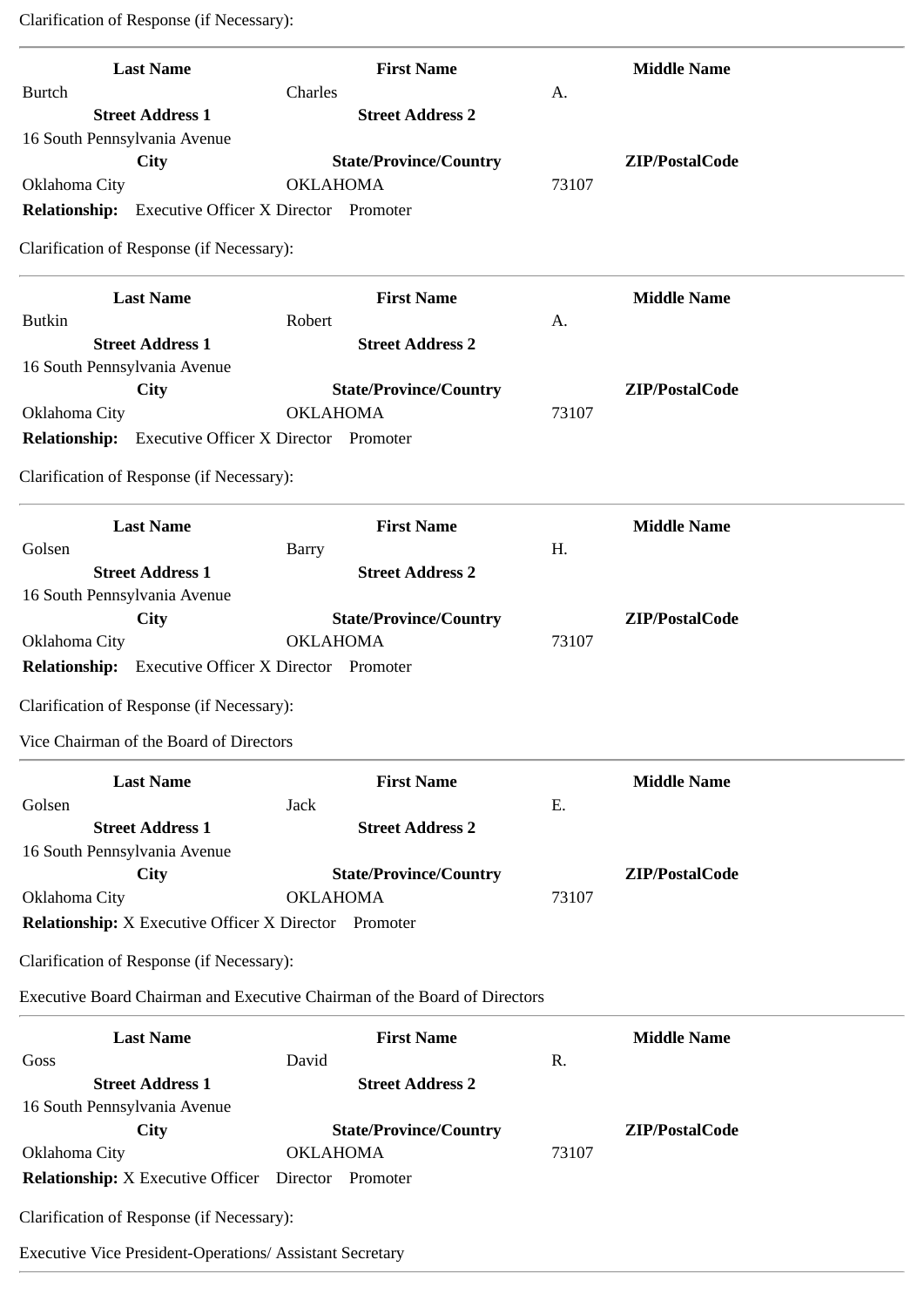Clarification of Response (if Necessary):

| <b>Last Name</b>                                                          | <b>First Name</b>                                |       | <b>Middle Name</b> |
|---------------------------------------------------------------------------|--------------------------------------------------|-------|--------------------|
| <b>Burtch</b>                                                             | Charles                                          | A.    |                    |
| <b>Street Address 1</b><br>16 South Pennsylvania Avenue                   | <b>Street Address 2</b>                          |       |                    |
| <b>City</b>                                                               | <b>State/Province/Country</b>                    |       | ZIP/PostalCode     |
| Oklahoma City                                                             | <b>OKLAHOMA</b>                                  | 73107 |                    |
| Relationship: Executive Officer X Director Promoter                       |                                                  |       |                    |
| Clarification of Response (if Necessary):                                 |                                                  |       |                    |
| <b>Last Name</b>                                                          | <b>First Name</b>                                |       | <b>Middle Name</b> |
| <b>Butkin</b><br><b>Street Address 1</b>                                  | Robert<br><b>Street Address 2</b>                | A.    |                    |
| 16 South Pennsylvania Avenue                                              |                                                  |       |                    |
| <b>City</b>                                                               | <b>State/Province/Country</b>                    |       | ZIP/PostalCode     |
| Oklahoma City                                                             | <b>OKLAHOMA</b>                                  | 73107 |                    |
| <b>Relationship:</b> Executive Officer X Director Promoter                |                                                  |       |                    |
| Clarification of Response (if Necessary):                                 |                                                  |       |                    |
| <b>Last Name</b>                                                          | <b>First Name</b>                                |       | <b>Middle Name</b> |
| Golsen                                                                    | Barry                                            | H.    |                    |
| <b>Street Address 1</b>                                                   | <b>Street Address 2</b>                          |       |                    |
| 16 South Pennsylvania Avenue                                              |                                                  |       |                    |
| <b>City</b>                                                               | <b>State/Province/Country</b>                    |       | ZIP/PostalCode     |
| Oklahoma City                                                             | <b>OKLAHOMA</b>                                  | 73107 |                    |
| <b>Relationship:</b> Executive Officer X Director Promoter                |                                                  |       |                    |
| Clarification of Response (if Necessary):                                 |                                                  |       |                    |
|                                                                           |                                                  |       |                    |
| Vice Chairman of the Board of Directors                                   |                                                  |       |                    |
| <b>Last Name</b>                                                          | <b>First Name</b>                                |       | <b>Middle Name</b> |
| Golsen                                                                    | <b>Jack</b>                                      | E.    |                    |
| <b>Street Address 1</b>                                                   | <b>Street Address 2</b>                          |       |                    |
| 16 South Pennsylvania Avenue                                              |                                                  |       |                    |
| City                                                                      | <b>State/Province/Country</b>                    |       | ZIP/PostalCode     |
| Oklahoma City                                                             | <b>OKLAHOMA</b>                                  | 73107 |                    |
| <b>Relationship:</b> X Executive Officer X Director Promoter              |                                                  |       |                    |
| Clarification of Response (if Necessary):                                 |                                                  |       |                    |
| Executive Board Chairman and Executive Chairman of the Board of Directors |                                                  |       |                    |
| <b>Last Name</b>                                                          | <b>First Name</b>                                |       | <b>Middle Name</b> |
| Goss                                                                      | David                                            | R.    |                    |
| <b>Street Address 1</b>                                                   | <b>Street Address 2</b>                          |       |                    |
| 16 South Pennsylvania Avenue<br><b>City</b>                               |                                                  |       | ZIP/PostalCode     |
| Oklahoma City                                                             | <b>State/Province/Country</b><br><b>OKLAHOMA</b> | 73107 |                    |
| <b>Relationship:</b> X Executive Officer                                  | Director Promoter                                |       |                    |
| Clarification of Response (if Necessary):                                 |                                                  |       |                    |
|                                                                           |                                                  |       |                    |
| <b>Executive Vice President-Operations/ Assistant Secretary</b>           |                                                  |       |                    |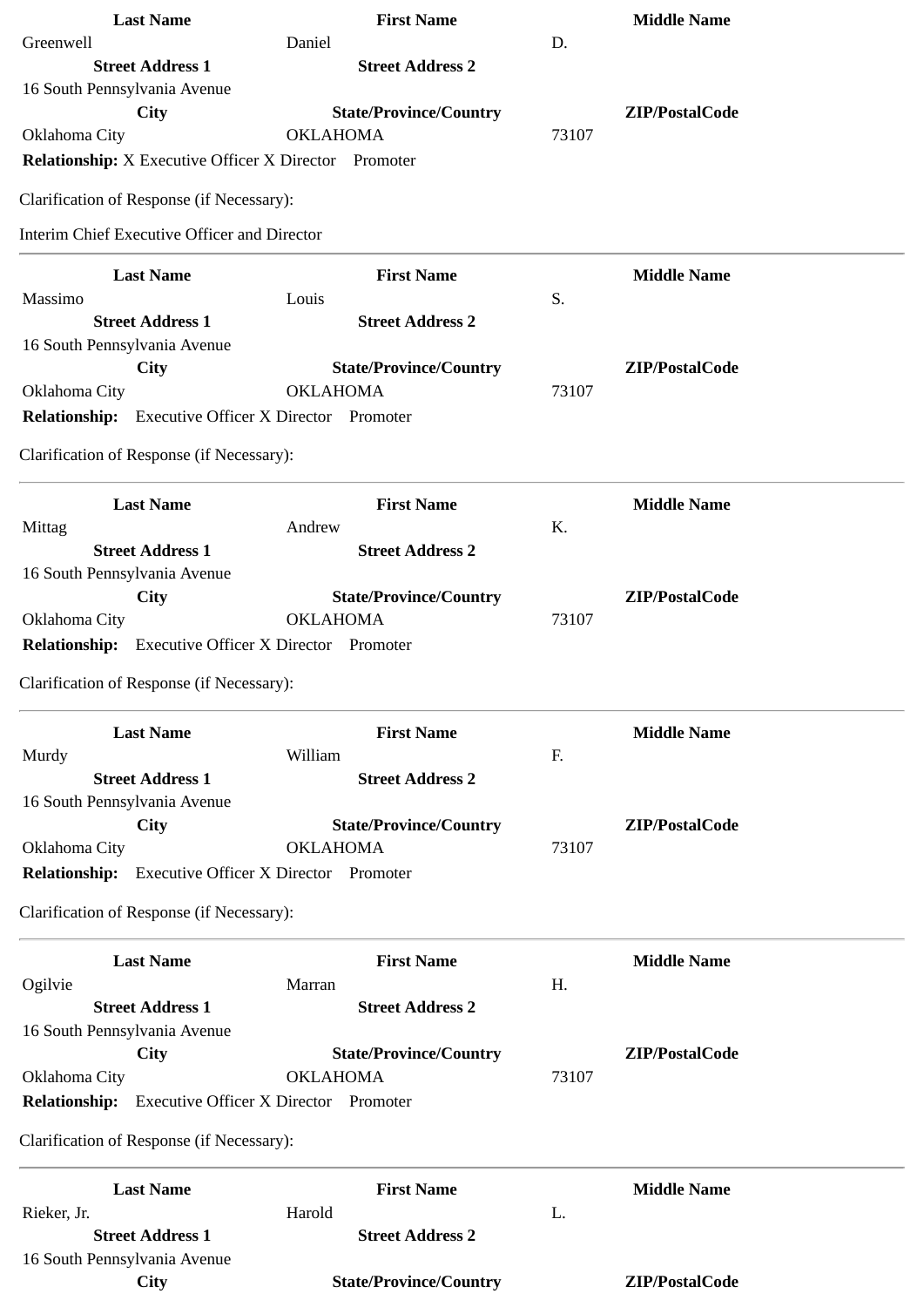| <b>Last Name</b>                                           | <b>First Name</b>             | <b>Middle Name</b>       |
|------------------------------------------------------------|-------------------------------|--------------------------|
| Greenwell                                                  | Daniel                        | D.                       |
| <b>Street Address 1</b>                                    | <b>Street Address 2</b>       |                          |
| 16 South Pennsylvania Avenue                               |                               |                          |
| <b>City</b>                                                | <b>State/Province/Country</b> | ZIP/PostalCode           |
| Oklahoma City                                              | <b>OKLAHOMA</b>               | 73107                    |
| Relationship: X Executive Officer X Director Promoter      |                               |                          |
| Clarification of Response (if Necessary):                  |                               |                          |
| <b>Interim Chief Executive Officer and Director</b>        |                               |                          |
| <b>Last Name</b>                                           | <b>First Name</b>             | <b>Middle Name</b>       |
| Massimo                                                    | Louis                         | S.                       |
| <b>Street Address 1</b>                                    | <b>Street Address 2</b>       |                          |
| 16 South Pennsylvania Avenue                               |                               |                          |
| <b>City</b>                                                | <b>State/Province/Country</b> | ZIP/PostalCode           |
| Oklahoma City                                              | <b>OKLAHOMA</b>               | 73107                    |
| <b>Relationship:</b> Executive Officer X Director Promoter |                               |                          |
| Clarification of Response (if Necessary):                  |                               |                          |
| <b>Last Name</b>                                           | <b>First Name</b>             |                          |
| Mittag                                                     | Andrew                        | <b>Middle Name</b><br>K. |
| <b>Street Address 1</b>                                    | <b>Street Address 2</b>       |                          |
| 16 South Pennsylvania Avenue                               |                               |                          |
| City                                                       | <b>State/Province/Country</b> | ZIP/PostalCode           |
| Oklahoma City                                              | <b>OKLAHOMA</b>               | 73107                    |
| Relationship: Executive Officer X Director Promoter        |                               |                          |
|                                                            |                               |                          |
| Clarification of Response (if Necessary):                  |                               |                          |
| <b>Last Name</b>                                           | <b>First Name</b>             | <b>Middle Name</b>       |
| Murdy                                                      | William                       | F.                       |
| <b>Street Address 1</b>                                    | <b>Street Address 2</b>       |                          |
| 16 South Pennsylvania Avenue                               |                               |                          |
| City                                                       | <b>State/Province/Country</b> | ZIP/PostalCode           |
| Oklahoma City                                              | <b>OKLAHOMA</b>               | 73107                    |
| <b>Relationship:</b> Executive Officer X Director Promoter |                               |                          |
| Clarification of Response (if Necessary):                  |                               |                          |
| <b>Last Name</b>                                           | <b>First Name</b>             | <b>Middle Name</b>       |
| Ogilvie                                                    | Marran                        | Η.                       |
| <b>Street Address 1</b>                                    | <b>Street Address 2</b>       |                          |
| 16 South Pennsylvania Avenue                               |                               |                          |
| City                                                       | <b>State/Province/Country</b> | ZIP/PostalCode           |
| Oklahoma City                                              | <b>OKLAHOMA</b>               | 73107                    |
| <b>Relationship:</b> Executive Officer X Director Promoter |                               |                          |
| Clarification of Response (if Necessary):                  |                               |                          |
| <b>Last Name</b>                                           | <b>First Name</b>             | <b>Middle Name</b>       |
| Rieker, Jr.                                                | Harold                        | L.                       |
| <b>Street Address 1</b>                                    | <b>Street Address 2</b>       |                          |
| 16 South Pennsylvania Avenue                               |                               |                          |
| <b>City</b>                                                | <b>State/Province/Country</b> | ZIP/PostalCode           |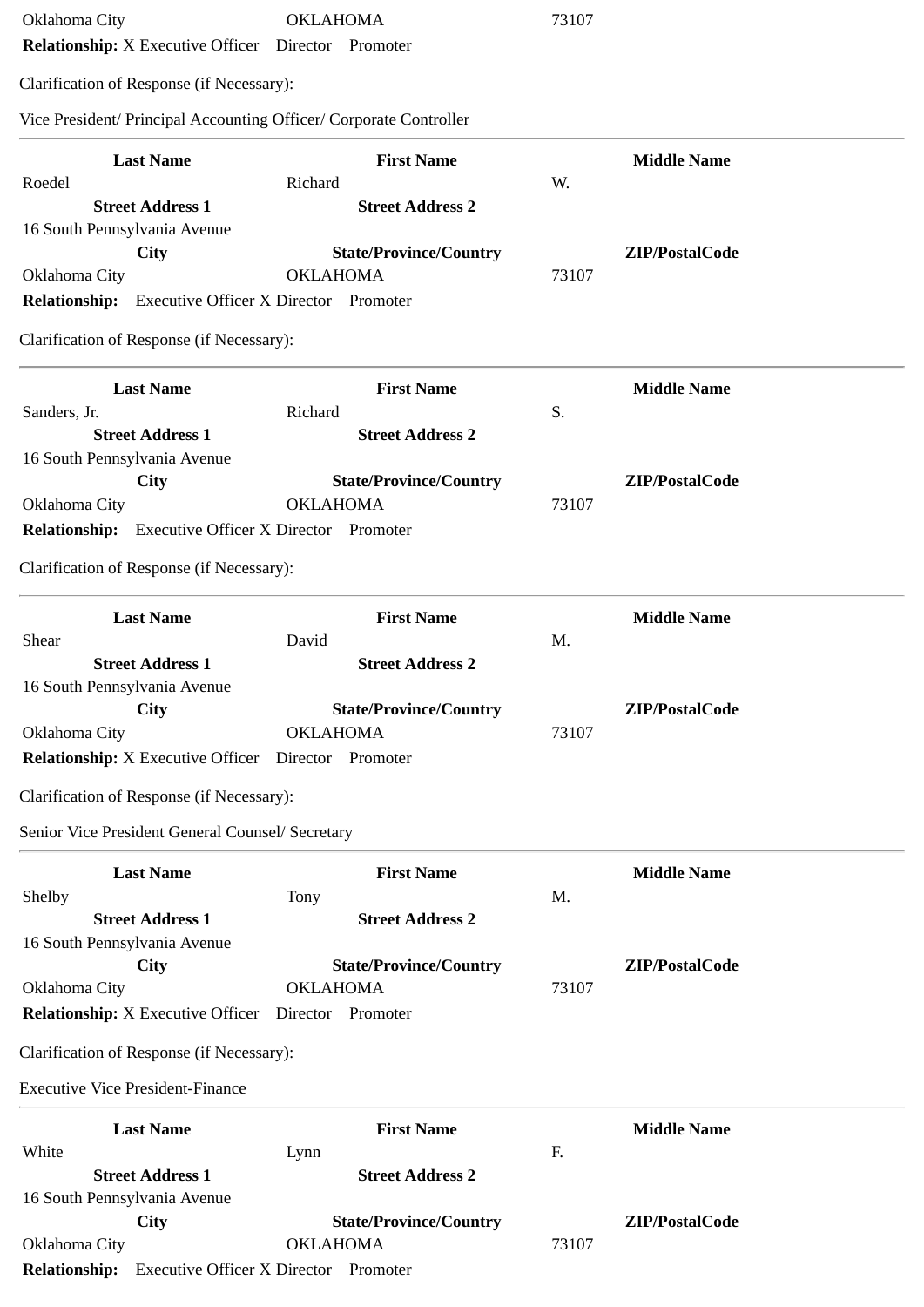| Oklahoma City<br><b>Relationship:</b> X Executive Officer  Director  Promoter | <b>OKLAHOMA</b>                                                    | 73107                   |
|-------------------------------------------------------------------------------|--------------------------------------------------------------------|-------------------------|
| Clarification of Response (if Necessary):                                     |                                                                    |                         |
|                                                                               | Vice President/ Principal Accounting Officer/ Corporate Controller |                         |
| <b>Last Name</b>                                                              | <b>First Name</b>                                                  | <b>Middle Name</b>      |
| Roedel                                                                        | Richard                                                            | W.                      |
| <b>Street Address 1</b>                                                       | <b>Street Address 2</b>                                            |                         |
| 16 South Pennsylvania Avenue                                                  |                                                                    |                         |
| City                                                                          | <b>State/Province/Country</b>                                      | ZIP/PostalCode          |
| Oklahoma City                                                                 | <b>OKLAHOMA</b>                                                    | 73107                   |
| <b>Relationship:</b> Executive Officer X Director Promoter                    |                                                                    |                         |
| Clarification of Response (if Necessary):                                     |                                                                    |                         |
| <b>Last Name</b>                                                              | <b>First Name</b>                                                  | <b>Middle Name</b>      |
| Sanders, Jr.                                                                  | Richard                                                            | S.                      |
| <b>Street Address 1</b>                                                       | <b>Street Address 2</b>                                            |                         |
| 16 South Pennsylvania Avenue                                                  |                                                                    |                         |
| City                                                                          | <b>State/Province/Country</b><br><b>OKLAHOMA</b>                   | ZIP/PostalCode<br>73107 |
| Oklahoma City<br><b>Relationship:</b> Executive Officer X Director Promoter   |                                                                    |                         |
|                                                                               |                                                                    |                         |
| Clarification of Response (if Necessary):                                     |                                                                    |                         |
| <b>Last Name</b>                                                              | <b>First Name</b>                                                  | <b>Middle Name</b>      |
| Shear                                                                         | David                                                              | M.                      |
| <b>Street Address 1</b>                                                       | <b>Street Address 2</b>                                            |                         |
| 16 South Pennsylvania Avenue                                                  |                                                                    |                         |
| City<br>Oklahoma City                                                         | <b>State/Province/Country</b><br><b>OKLAHOMA</b>                   | ZIP/PostalCode<br>73107 |
| <b>Relationship:</b> X Executive Officer Director Promoter                    |                                                                    |                         |
| Clarification of Response (if Necessary):                                     |                                                                    |                         |
| Senior Vice President General Counsel/ Secretary                              |                                                                    |                         |
| <b>Last Name</b>                                                              | <b>First Name</b>                                                  | <b>Middle Name</b>      |
| Shelby                                                                        | Tony                                                               | M.                      |
| <b>Street Address 1</b>                                                       | <b>Street Address 2</b>                                            |                         |
| 16 South Pennsylvania Avenue                                                  |                                                                    |                         |
| <b>City</b>                                                                   | <b>State/Province/Country</b>                                      | ZIP/PostalCode          |
| Oklahoma City                                                                 | <b>OKLAHOMA</b>                                                    | 73107                   |
| Relationship: X Executive Officer  Director  Promoter                         |                                                                    |                         |
| Clarification of Response (if Necessary):                                     |                                                                    |                         |
| <b>Executive Vice President-Finance</b>                                       |                                                                    |                         |
| <b>Last Name</b>                                                              | <b>First Name</b>                                                  | <b>Middle Name</b>      |
| White                                                                         | Lynn                                                               | F.                      |
| <b>Street Address 1</b>                                                       | <b>Street Address 2</b>                                            |                         |
| 16 South Pennsylvania Avenue<br><b>City</b>                                   | <b>State/Province/Country</b>                                      | ZIP/PostalCode          |
| Oklahoma City                                                                 | <b>OKLAHOMA</b>                                                    | 73107                   |
|                                                                               |                                                                    |                         |

**Relationship:** Executive Officer X Director Promoter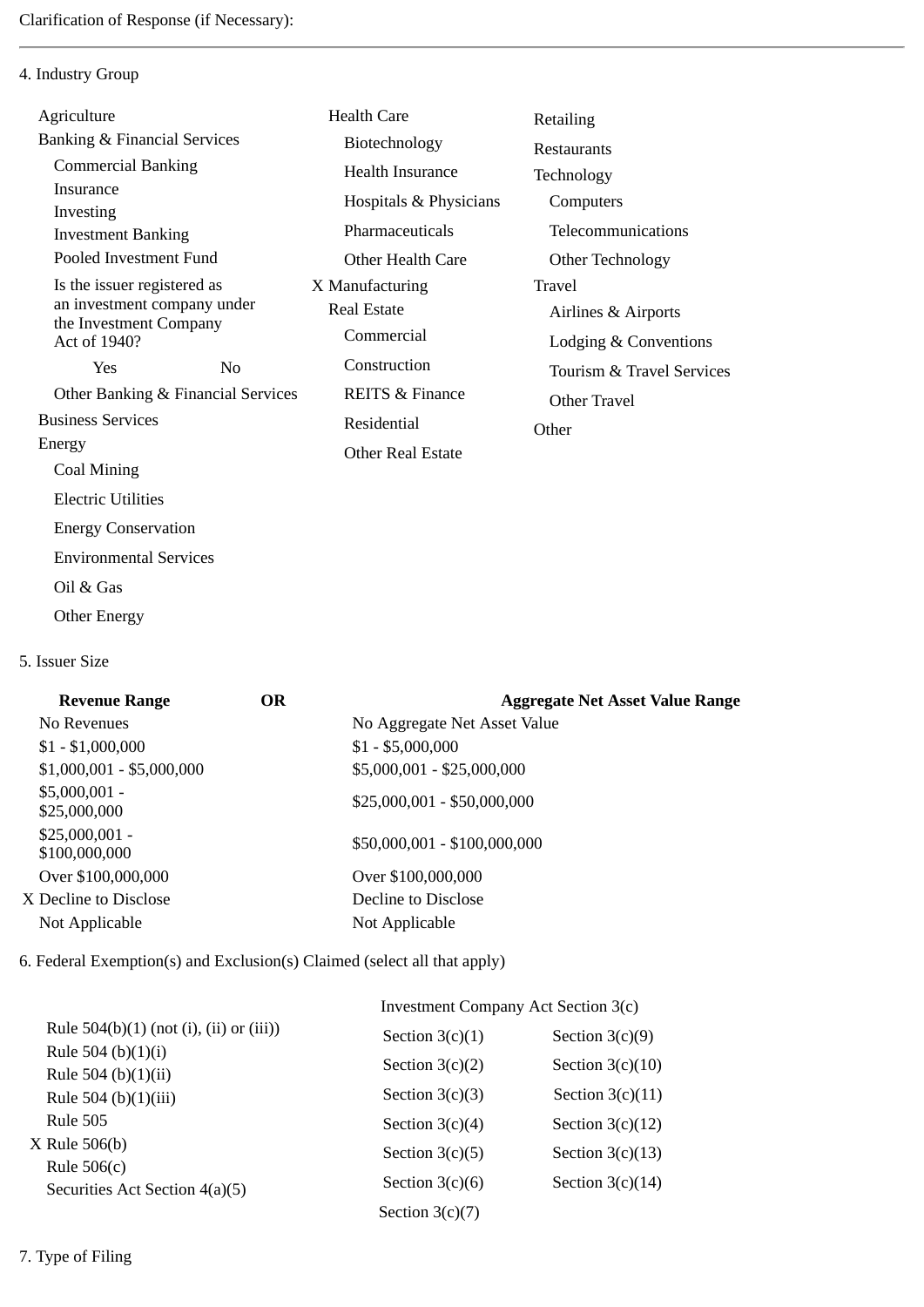4. Industry Group

| Agriculture                             |                                    | <b>Health Care</b>         | Retailing                 |
|-----------------------------------------|------------------------------------|----------------------------|---------------------------|
| <b>Banking &amp; Financial Services</b> |                                    | Biotechnology              | Restaurants               |
| <b>Commercial Banking</b>               |                                    | <b>Health Insurance</b>    | Technology                |
| Insurance                               |                                    | Hospitals & Physicians     | Computers                 |
| Investing                               |                                    | Pharmaceuticals            | Telecommunications        |
| <b>Investment Banking</b>               |                                    |                            |                           |
| Pooled Investment Fund                  |                                    | Other Health Care          | Other Technology          |
| Is the issuer registered as             |                                    | X Manufacturing            | Travel                    |
| an investment company under             |                                    | Real Estate                | Airlines & Airports       |
| the Investment Company<br>Act of 1940?  |                                    | Commercial                 | Lodging & Conventions     |
| Yes                                     | N <sub>0</sub>                     | Construction               | Tourism & Travel Services |
|                                         | Other Banking & Financial Services | <b>REITS &amp; Finance</b> | Other Travel              |
| <b>Business Services</b>                |                                    | Residential                | Other                     |
| Energy                                  |                                    | <b>Other Real Estate</b>   |                           |
| Coal Mining                             |                                    |                            |                           |
| <b>Electric Utilities</b>               |                                    |                            |                           |
| <b>Energy Conservation</b>              |                                    |                            |                           |
| <b>Environmental Services</b>           |                                    |                            |                           |

- Oil & Gas
- Other Energy
- 5. Issuer Size

| <b>Revenue Range</b>             | OR | <b>Aggregate Net Asset Value Range</b> |
|----------------------------------|----|----------------------------------------|
| No Revenues                      |    | No Aggregate Net Asset Value           |
| $$1 - $1,000,000$                |    | $$1 - $5,000,000$                      |
| $$1,000,001 - $5,000,000$        |    | \$5,000,001 - \$25,000,000             |
| $$5,000,001 -$<br>\$25,000,000   |    | $$25,000,001 - $50,000,000$            |
| $$25,000,001 -$<br>\$100,000,000 |    | \$50,000,001 - \$100,000,000           |
| Over \$100,000,000               |    | Over \$100,000,000                     |
| X Decline to Disclose            |    | Decline to Disclose                    |
| Not Applicable                   |    | Not Applicable                         |

6. Federal Exemption(s) and Exclusion(s) Claimed (select all that apply)

|                                                 | Investment Company Act Section 3(c) |                    |  |
|-------------------------------------------------|-------------------------------------|--------------------|--|
| Rule $504(b)(1)$ (not (i), (ii) or (iii))       | Section $3(c)(1)$                   | Section $3(c)(9)$  |  |
| Rule 504 (b) $(1)(i)$<br>Rule 504 (b) $(1)(ii)$ | Section $3(c)(2)$                   | Section $3(c)(10)$ |  |
| Rule 504 (b)(1)(iii)                            | Section $3(c)(3)$                   | Section $3(c)(11)$ |  |
| <b>Rule 505</b>                                 | Section $3(c)(4)$                   | Section $3(c)(12)$ |  |
| $X$ Rule 506(b)<br>Rule $506(c)$                | Section $3(c)(5)$                   | Section $3(c)(13)$ |  |
| Securities Act Section 4(a)(5)                  | Section $3(c)(6)$                   | Section $3(c)(14)$ |  |
|                                                 | Section $3(c)(7)$                   |                    |  |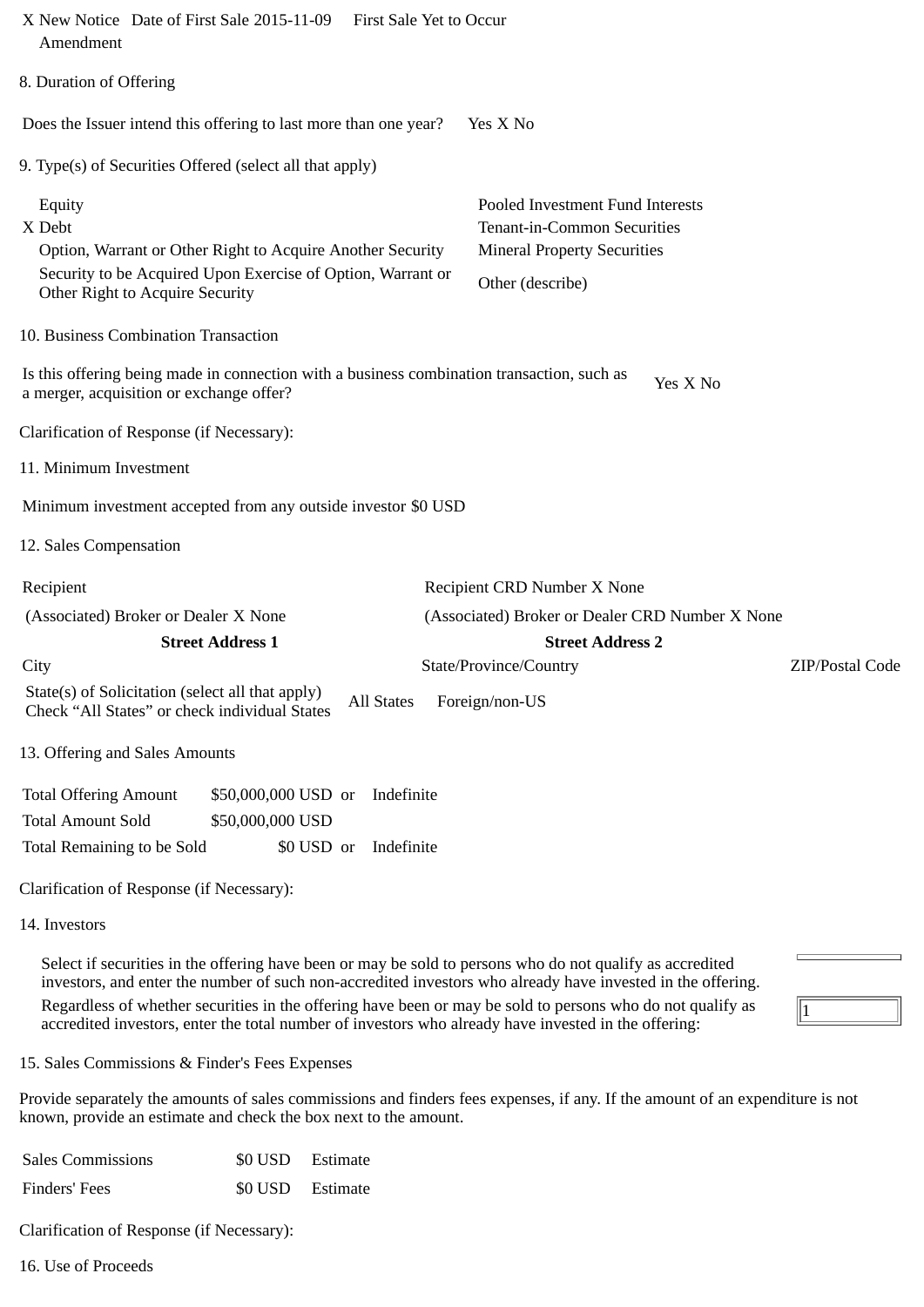| X New Notice Date of First Sale 2015-11-09<br>Amendment                                                                                                                          | <b>First Sale Yet to Occur</b>                                                                                            |
|----------------------------------------------------------------------------------------------------------------------------------------------------------------------------------|---------------------------------------------------------------------------------------------------------------------------|
| 8. Duration of Offering                                                                                                                                                          |                                                                                                                           |
| Does the Issuer intend this offering to last more than one year?                                                                                                                 | Yes X No                                                                                                                  |
| 9. Type(s) of Securities Offered (select all that apply)                                                                                                                         |                                                                                                                           |
| Equity<br>X Debt<br>Option, Warrant or Other Right to Acquire Another Security<br>Security to be Acquired Upon Exercise of Option, Warrant or<br>Other Right to Acquire Security | Pooled Investment Fund Interests<br>Tenant-in-Common Securities<br><b>Mineral Property Securities</b><br>Other (describe) |
| 10. Business Combination Transaction                                                                                                                                             |                                                                                                                           |
| Is this offering being made in connection with a business combination transaction, such as<br>a merger, acquisition or exchange offer?                                           | Yes X No                                                                                                                  |
| Clarification of Response (if Necessary):                                                                                                                                        |                                                                                                                           |
| 11. Minimum Investment                                                                                                                                                           |                                                                                                                           |
| Minimum investment accepted from any outside investor \$0 USD                                                                                                                    |                                                                                                                           |
| 12. Sales Compensation                                                                                                                                                           |                                                                                                                           |
| Recipient                                                                                                                                                                        | Recipient CRD Number X None                                                                                               |
| (Associated) Broker or Dealer X None                                                                                                                                             | (Associated) Broker or Dealer CRD Number X None                                                                           |
| <b>Street Address 1</b>                                                                                                                                                          | <b>Street Address 2</b>                                                                                                   |
| City                                                                                                                                                                             | State/Province/Country<br>ZIP/Postal Code                                                                                 |
| State(s) of Solicitation (select all that apply)<br>Check "All States" or check individual States                                                                                | All States Foreign/non-US                                                                                                 |
| 13. Offering and Sales Amounts                                                                                                                                                   |                                                                                                                           |
| <b>Total Offering Amount</b><br>\$50,000,000 USD or<br>Indefinite                                                                                                                |                                                                                                                           |
| <b>Total Amount Sold</b><br>\$50,000,000 USD                                                                                                                                     |                                                                                                                           |
| Total Remaining to be Sold<br>\$0 USD or<br>Indefinite                                                                                                                           |                                                                                                                           |
| Clarification of Response (if Necessary):                                                                                                                                        |                                                                                                                           |
| 14 Invostors                                                                                                                                                                     |                                                                                                                           |

14. Investors

Select if securities in the offering have been or may be sold to persons who do not qualify as accredited investors, and enter the number of such non-accredited investors who already have invested in the offering. Regardless of whether securities in the offering have been or may be sold to persons who do not qualify as accredited investors, enter the total number of investors who already have invested in the offering:

15. Sales Commissions & Finder's Fees Expenses

Provide separately the amounts of sales commissions and finders fees expenses, if any. If the amount of an expenditure is not known, provide an estimate and check the box next to the amount.

 $\sqrt{1}$ 

| <b>Sales Commissions</b> | \$0 USD Estimate |
|--------------------------|------------------|
| Finders' Fees            | \$0 USD Estimate |

Clarification of Response (if Necessary):

16. Use of Proceeds